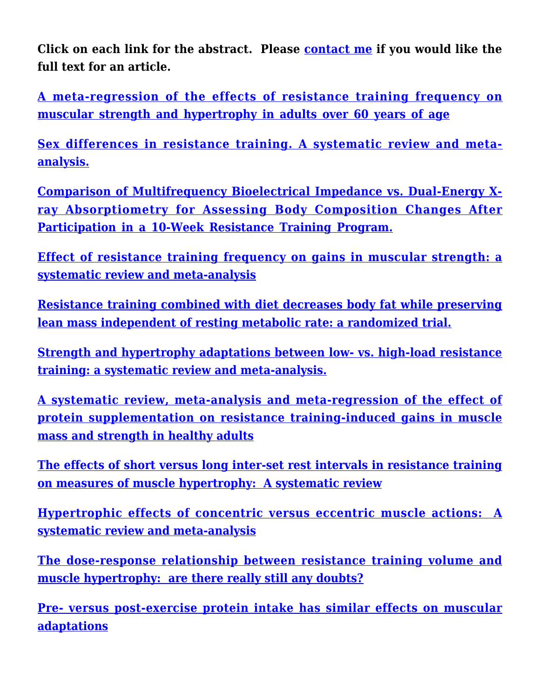**Click on each link for the abstract. Please [contact me](https://weightology.net/?page_id=5) if you would like the full text for an article.**

**[A meta-regression of the effects of resistance training frequency on](https://www.tandfonline.com/doi/full/10.1080/02640414.2020.1822595) [muscular strength and hypertrophy in adults over 60 years of age](https://www.tandfonline.com/doi/full/10.1080/02640414.2020.1822595)**

**[Sex differences in resistance training. A systematic review and meta](https://journals.lww.com/nsca-jscr/Abstract/publishahead/Sex_Differences_in_Resistance_Training__A.94444.aspx)[analysis.](https://journals.lww.com/nsca-jscr/Abstract/publishahead/Sex_Differences_in_Resistance_Training__A.94444.aspx)**

**[Comparison of Multifrequency Bioelectrical Impedance vs. Dual-Energy X](https://www.ncbi.nlm.nih.gov/pubmed/29927888)[ray Absorptiometry for Assessing Body Composition Changes After](https://www.ncbi.nlm.nih.gov/pubmed/29927888) [Participation in a 10-Week Resistance Training Program.](https://www.ncbi.nlm.nih.gov/pubmed/29927888)**

**[Effect of resistance training frequency on gains in muscular strength: a](https://rd.springer.com/article/10.1007/s40279-018-0872-x) [systematic review and meta-analysis](https://rd.springer.com/article/10.1007/s40279-018-0872-x)**

**[Resistance training combined with diet decreases body fat while preserving](https://www.ncbi.nlm.nih.gov/pubmed/28871849) [lean mass independent of resting metabolic rate: a randomized trial.](https://www.ncbi.nlm.nih.gov/pubmed/28871849)**

**[Strength and hypertrophy adaptations between low- vs. high-load resistance](https://www.ncbi.nlm.nih.gov/pubmed/28834797) [training: a systematic review and meta-analysis.](https://www.ncbi.nlm.nih.gov/pubmed/28834797)**

**[A systematic review, meta-analysis and meta-regression of the effect of](https://www.ncbi.nlm.nih.gov/pubmed/28698222) [protein supplementation on resistance training-induced gains in muscle](https://www.ncbi.nlm.nih.gov/pubmed/28698222) [mass and strength in healthy adults](https://www.ncbi.nlm.nih.gov/pubmed/28698222)**

**[The effects of short versus long inter-set rest intervals in resistance training](https://www.ncbi.nlm.nih.gov/pubmed/28641044) [on measures of muscle hypertrophy: A systematic review](https://www.ncbi.nlm.nih.gov/pubmed/28641044)**

**[Hypertrophic effects of concentric versus eccentric muscle actions: A](https://www.ncbi.nlm.nih.gov/pubmed/28486337) [systematic review and meta-analysis](https://www.ncbi.nlm.nih.gov/pubmed/28486337)**

**[The dose-response relationship between resistance training volume and](https://www.ncbi.nlm.nih.gov/pubmed/27805470) [muscle hypertrophy: are there really still any doubts?](https://www.ncbi.nlm.nih.gov/pubmed/27805470)**

**[Pre- versus post-exercise protein intake has similar effects on muscular](https://peerj.com/articles/2825/) [adaptations](https://peerj.com/articles/2825/)**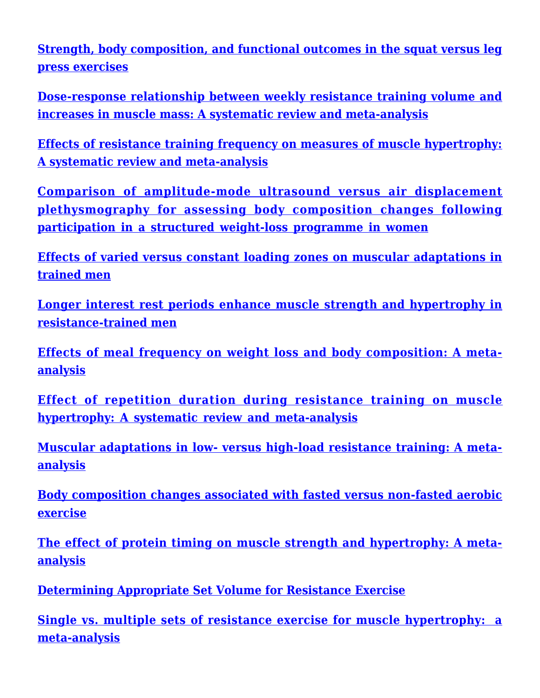**[Strength, body composition, and functional outcomes in the squat versus leg](https://www.ncbi.nlm.nih.gov/pubmed/27735888) [press exercises](https://www.ncbi.nlm.nih.gov/pubmed/27735888)**

**[Dose-response relationship between weekly resistance training volume and](https://www.ncbi.nlm.nih.gov/pubmed/27433992) [increases in muscle mass: A systematic review and meta-analysis](https://www.ncbi.nlm.nih.gov/pubmed/27433992)**

**[Effects of resistance training frequency on measures of muscle hypertrophy:](https://www.ncbi.nlm.nih.gov/pubmed/27102172) [A systematic review and meta-analysis](https://www.ncbi.nlm.nih.gov/pubmed/27102172)**

**[Comparison of amplitude-mode ultrasound versus air displacement](https://www.ncbi.nlm.nih.gov/pubmed/26970424) [plethysmography for assessing body composition changes following](https://www.ncbi.nlm.nih.gov/pubmed/26970424) [participation in a structured weight-loss programme in women](https://www.ncbi.nlm.nih.gov/pubmed/26970424)**

**[Effects of varied versus constant loading zones on muscular adaptations in](https://www.ncbi.nlm.nih.gov/pubmed/27042999) [trained men](https://www.ncbi.nlm.nih.gov/pubmed/27042999)**

**[Longer interest rest periods enhance muscle strength and hypertrophy in](https://www.ncbi.nlm.nih.gov/pubmed/26605807) [resistance-trained men](https://www.ncbi.nlm.nih.gov/pubmed/26605807)**

**[Effects of meal frequency on weight loss and body composition: A meta](https://www.ncbi.nlm.nih.gov/pubmed/26024494)[analysis](https://www.ncbi.nlm.nih.gov/pubmed/26024494)**

**[Effect of repetition duration during resistance training on muscle](https://www.ncbi.nlm.nih.gov/pubmed/25601394) [hypertrophy: A systematic review and meta-analysis](https://www.ncbi.nlm.nih.gov/pubmed/25601394)**

**[Muscular adaptations in low- versus high-load resistance training: A meta](https://www.ncbi.nlm.nih.gov/pubmed/25530577)[analysis](https://www.ncbi.nlm.nih.gov/pubmed/25530577)**

**[Body composition changes associated with fasted versus non-fasted aerobic](https://www.ncbi.nlm.nih.gov/pubmed/25429252) [exercise](https://www.ncbi.nlm.nih.gov/pubmed/25429252)**

**[The effect of protein timing on muscle strength and hypertrophy: A meta](https://www.ncbi.nlm.nih.gov/pubmed/24299050)[analysis](https://www.ncbi.nlm.nih.gov/pubmed/24299050)**

**[Determining Appropriate Set Volume for Resistance Exercise](http://journals.lww.com/nsca-scj/Abstract/2010/06000/Determining_Appropriate_Set_Volume_for_Resistance.3.aspx)**

**[Single vs. multiple sets of resistance exercise for muscle hypertrophy: a](http://www.ncbi.nlm.nih.gov/pubmed/20300012) [meta-analysis](http://www.ncbi.nlm.nih.gov/pubmed/20300012)**